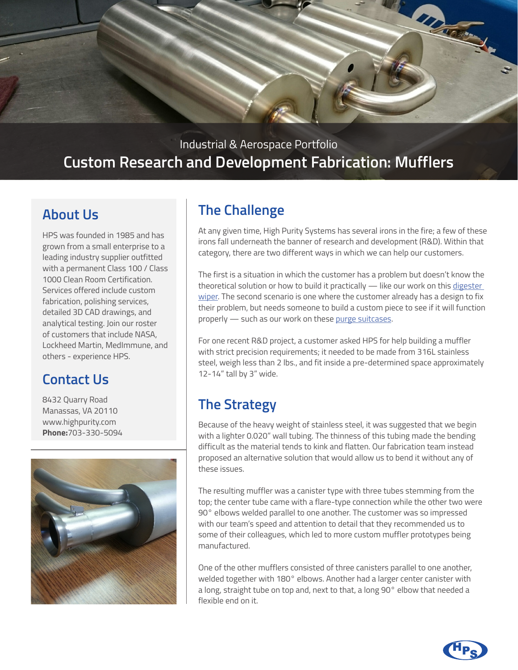

### Industrial & Aerospace Portfolio **Custom Research and Development Fabrication: Mufflers**

### **About Us**

HPS was founded in 1985 and has grown from a small enterprise to a leading industry supplier outfitted with a permanent Class 100 / Class 1000 Clean Room Certification. Services offered include custom fabrication, polishing services, detailed 3D CAD drawings, and analytical testing. Join our roster of customers that include NASA, Lockheed Martin, MedImmune, and others - experience HPS.

# **Contact Us**

8432 Quarry Road Manassas, VA 20110 www.highpurity.com **Phone:**703-330-5094



# **The Challenge**

At any given time, High Purity Systems has several irons in the fire; a few of these irons fall underneath the banner of research and development (R&D). Within that category, there are two different ways in which we can help our customers.

The first is a situation in which the customer has a problem but doesn't know the theoretical solution or how to build it practically - like our work on this digester [wiper](https://www.highpurity.com/industries/water-treatment/). The second scenario is one where the customer already has a design to fix their problem, but needs someone to build a custom piece to see if it will function properly — such as our work on these [purge suitcases.](https://www.highpurity.com/industries/aerospace/purge-suitcase-panel/)

For one recent R&D project, a customer asked HPS for help building a muffler with strict precision requirements; it needed to be made from 316L stainless steel, weigh less than 2 lbs., and fit inside a pre-determined space approximately 12-14" tall by 3" wide.

# **The Strategy**

Because of the heavy weight of stainless steel, it was suggested that we begin with a lighter 0.020" wall tubing. The thinness of this tubing made the bending difficult as the material tends to kink and flatten. Our fabrication team instead proposed an alternative solution that would allow us to bend it without any of these issues.

The resulting muffler was a canister type with three tubes stemming from the top; the center tube came with a flare-type connection while the other two were 90° elbows welded parallel to one another. The customer was so impressed with our team's speed and attention to detail that they recommended us to some of their colleagues, which led to more custom muffler prototypes being manufactured.

One of the other mufflers consisted of three canisters parallel to one another, welded together with 180° elbows. Another had a larger center canister with a long, straight tube on top and, next to that, a long 90° elbow that needed a flexible end on it.